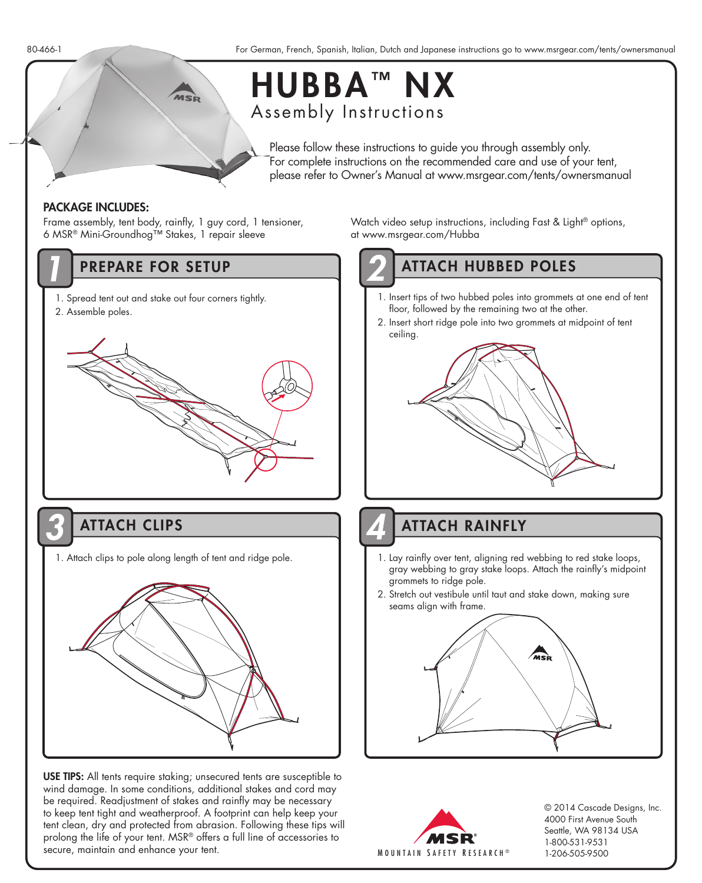

## HUBBA<sup>™</sup> NX Assembly Instructions

Please follow these instructions to guide you through assembly only. For complete instructions on the recommended care and use of your tent, please refer to Owner's Manual at www.msrgear.com/tents/ownersmanual

### PACKAGE INCLUDES:

Frame assembly, tent body, rainfly, 1 guy cord, 1 tensioner, 6 MSR® Mini-Groundhog™ Stakes, 1 repair sleeve

- 1. Spread tent out and stake out four corners tightly.
- 2. Assemble poles.



1. Attach clips to pole along length of tent and ridge pole.



USE TIPS: All tents require staking; unsecured tents are susceptible to wind damage. In some conditions, additional stakes and cord may be required. Readjustment of stakes and rainfly may be necessary to keep tent tight and weatherproof. A footprint can help keep your tent clean, dry and protected from abrasion. Following these tips will prolong the life of your tent. MSR® offers a full line of accessories to secure, maintain and enhance your tent.

Watch video setup instructions, including Fast & Light® options, at www.msrgear.com/Hubba

# PREPARE FOR SETUP ATTACH HUBBED POLES

- 1. Insert tips of two hubbed poles into grommets at one end of tent floor, followed by the remaining two at the other.
- 2. Insert short ridge pole into two grommets at midpoint of tent ceiling.



ATTACH CLIPS ATTACH RAINFLY

- 1. Lay rainfly over tent, aligning red webbing to red stake loops, gray webbing to gray stake loops. Attach the rainfly's midpoint grommets to ridge pole.
- 2. Stretch out vestibule until taut and stake down, making sure seams align with frame.





© 2014 Cascade Designs, Inc. 4000 First Avenue South Seattle, WA 98134 USA 1-800-531-9531 1-206-505-9500